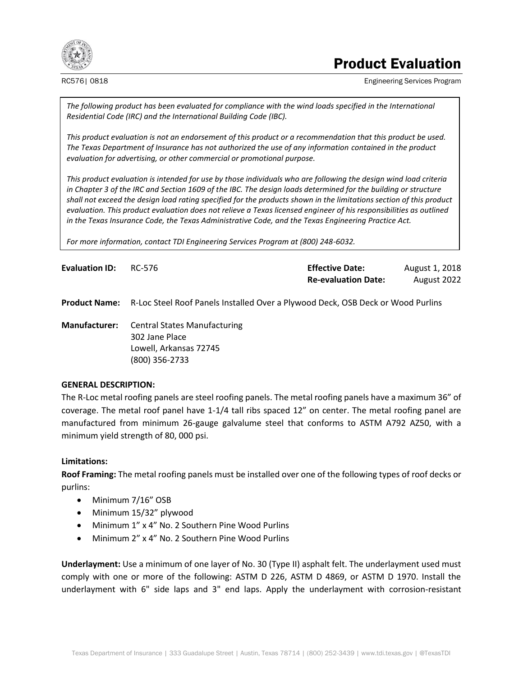

## Product Evaluation

RC576| 0818 Engineering Services Program

*The following product has been evaluated for compliance with the wind loads specified in the International Residential Code (IRC) and the International Building Code (IBC).*

*This product evaluation is not an endorsement of this product or a recommendation that this product be used. The Texas Department of Insurance has not authorized the use of any information contained in the product evaluation for advertising, or other commercial or promotional purpose.*

*This product evaluation is intended for use by those individuals who are following the design wind load criteria in Chapter 3 of the IRC and Section 1609 of the IBC. The design loads determined for the building or structure shall not exceed the design load rating specified for the products shown in the limitations section of this product evaluation. This product evaluation does not relieve a Texas licensed engineer of his responsibilities as outlined in the Texas Insurance Code, the Texas Administrative Code, and the Texas Engineering Practice Act.*

*For more information, contact TDI Engineering Services Program at (800) 248-6032.*

| <b>Evaluation ID:</b> | RC-576 | <b>Effective Date:</b>     | August 1, 2018 |
|-----------------------|--------|----------------------------|----------------|
|                       |        | <b>Re-evaluation Date:</b> | August 2022    |

**Product Name:** R-Loc Steel Roof Panels Installed Over a Plywood Deck, OSB Deck or Wood Purlins

**Manufacturer:** Central States Manufacturing 302 Jane Place Lowell, Arkansas 72745 (800) 356-2733

## **GENERAL DESCRIPTION:**

The R-Loc metal roofing panels are steel roofing panels. The metal roofing panels have a maximum 36" of coverage. The metal roof panel have 1-1/4 tall ribs spaced 12" on center. The metal roofing panel are manufactured from minimum 26-gauge galvalume steel that conforms to ASTM A792 AZ50, with a minimum yield strength of 80, 000 psi.

## **Limitations:**

**Roof Framing:** The metal roofing panels must be installed over one of the following types of roof decks or purlins:

- Minimum 7/16" OSB
- Minimum 15/32" plywood
- Minimum 1" x 4" No. 2 Southern Pine Wood Purlins
- Minimum 2" x 4" No. 2 Southern Pine Wood Purlins

**Underlayment:** Use a minimum of one layer of No. 30 (Type II) asphalt felt. The underlayment used must comply with one or more of the following: ASTM D 226, ASTM D 4869, or ASTM D 1970. Install the underlayment with 6" side laps and 3" end laps. Apply the underlayment with corrosion-resistant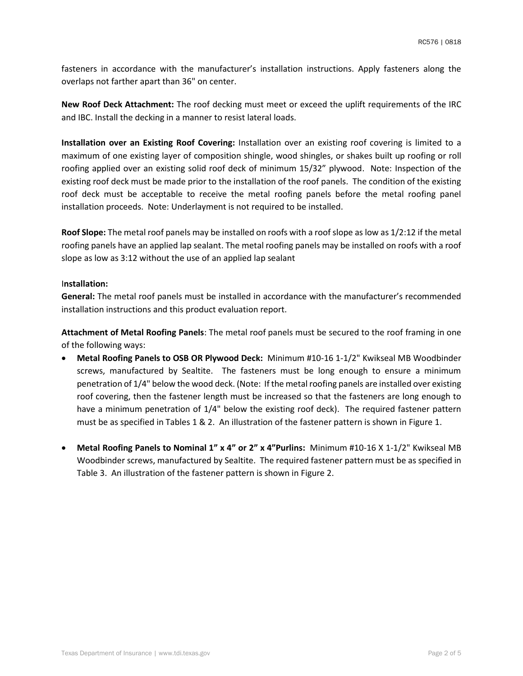fasteners in accordance with the manufacturer's installation instructions. Apply fasteners along the overlaps not farther apart than 36" on center.

**New Roof Deck Attachment:** The roof decking must meet or exceed the uplift requirements of the IRC and IBC. Install the decking in a manner to resist lateral loads.

**Installation over an Existing Roof Covering:** Installation over an existing roof covering is limited to a maximum of one existing layer of composition shingle, wood shingles, or shakes built up roofing or roll roofing applied over an existing solid roof deck of minimum 15/32" plywood. Note: Inspection of the existing roof deck must be made prior to the installation of the roof panels. The condition of the existing roof deck must be acceptable to receive the metal roofing panels before the metal roofing panel installation proceeds. Note: Underlayment is not required to be installed.

**Roof Slope:** The metal roof panels may be installed on roofs with a roof slope as low as 1/2:12 if the metal roofing panels have an applied lap sealant. The metal roofing panels may be installed on roofs with a roof slope as low as 3:12 without the use of an applied lap sealant

## I**nstallation:**

**General:** The metal roof panels must be installed in accordance with the manufacturer's recommended installation instructions and this product evaluation report.

**Attachment of Metal Roofing Panels**: The metal roof panels must be secured to the roof framing in one of the following ways:

- **Metal Roofing Panels to OSB OR Plywood Deck:** Minimum #10-16 1-1/2" Kwikseal MB Woodbinder screws, manufactured by Sealtite. The fasteners must be long enough to ensure a minimum penetration of 1/4" below the wood deck. (Note: If the metal roofing panels are installed over existing roof covering, then the fastener length must be increased so that the fasteners are long enough to have a minimum penetration of 1/4" below the existing roof deck). The required fastener pattern must be as specified in Tables 1 & 2. An illustration of the fastener pattern is shown in Figure 1.
- **Metal Roofing Panels to Nominal 1" x 4" or 2" x 4"Purlins:** Minimum #10-16 X 1-1/2" Kwikseal MB Woodbinder screws, manufactured by Sealtite. The required fastener pattern must be as specified in Table 3. An illustration of the fastener pattern is shown in Figure 2.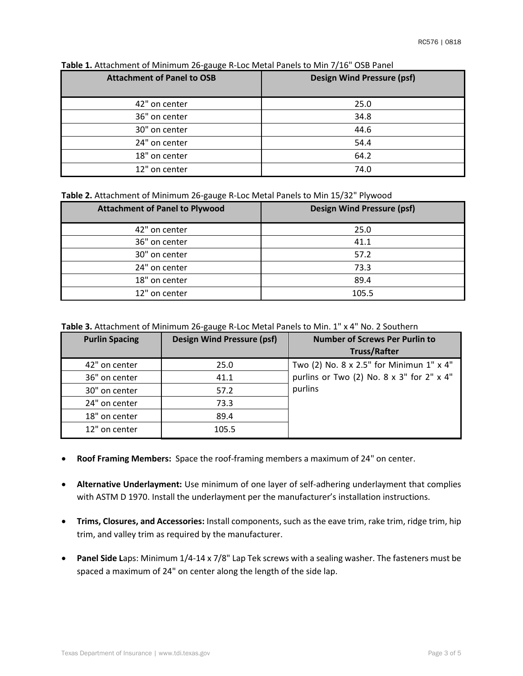| <b>Attachment of Panel to OSB</b> | <b>Design Wind Pressure (psf)</b> |
|-----------------------------------|-----------------------------------|
| 42" on center                     | 25.0                              |
| 36" on center                     | 34.8                              |
| 30" on center                     | 44.6                              |
| 24" on center                     | 54.4                              |
| 18" on center                     | 64.2                              |
| 12" on center                     | 74.0                              |

**Table 1.** Attachment of Minimum 26-gauge R-Loc Metal Panels to Min 7/16" OSB Panel

**Table 2.** Attachment of Minimum 26-gauge R-Loc Metal Panels to Min 15/32" Plywood

| <b>Attachment of Panel to Plywood</b> | <b>Design Wind Pressure (psf)</b> |
|---------------------------------------|-----------------------------------|
| 42" on center                         | 25.0                              |
| 36" on center                         | 41.1                              |
| 30" on center                         | 57.2                              |
| 24" on center                         | 73.3                              |
| 18" on center                         | 89.4                              |
| 12" on center                         | 105.5                             |

**Table 3.** Attachment of Minimum 26-gauge R-Loc Metal Panels to Min. 1" x 4" No. 2 Southern

| <b>Purlin Spacing</b> | <b>Design Wind Pressure (psf)</b> | <b>Number of Screws Per Purlin to</b>     |
|-----------------------|-----------------------------------|-------------------------------------------|
|                       |                                   | <b>Truss/Rafter</b>                       |
| 42" on center         | 25.0                              | Two (2) No. 8 x 2.5" for Minimun 1" x 4"  |
| 36" on center         | 41.1                              | purlins or Two (2) No. 8 x 3" for 2" x 4" |
| 30" on center         | 57.2                              | purlins                                   |
| 24" on center         | 73.3                              |                                           |
| 18" on center         | 89.4                              |                                           |
| 12" on center         | 105.5                             |                                           |

- **Roof Framing Members:** Space the roof-framing members a maximum of 24" on center.
- **Alternative Underlayment:** Use minimum of one layer of self-adhering underlayment that complies with ASTM D 1970. Install the underlayment per the manufacturer's installation instructions.
- **Trims, Closures, and Accessories:** Install components, such as the eave trim, rake trim, ridge trim, hip trim, and valley trim as required by the manufacturer.
- **Panel Side L**aps: Minimum 1/4-14 x 7/8" Lap Tek screws with a sealing washer. The fasteners must be spaced a maximum of 24" on center along the length of the side lap.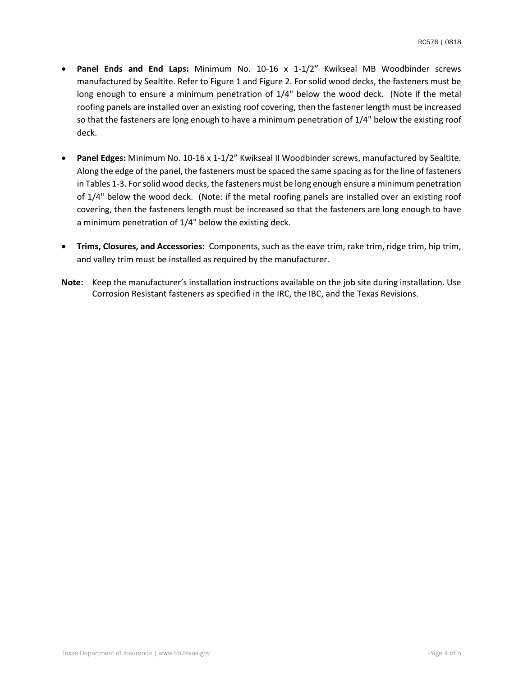- **Panel Ends and End Laps:** Minimum No. 10-16 x 1-1/2" Kwikseal MB Woodbinder screws manufactured by Sealtite. Refer to Figure 1 and Figure 2. For solid wood decks, the fasteners must be long enough to ensure a minimum penetration of 1/4" below the wood deck. (Note if the metal roofing panels are installed over an existing roof covering, then the fastener length must be increased so that the fasteners are long enough to have a minimum penetration of 1/4" below the existing roof deck.
- **Panel Edges:** Minimum No. 10-16 x 1-1/2" Kwikseal II Woodbinder screws, manufactured by Sealtite. Along the edge of the panel, the fasteners must be spaced the same spacing as for the line of fasteners in Tables 1-3. For solid wood decks, the fasteners must be long enough ensure a minimum penetration of 1/4" below the wood deck. (Note: if the metal roofing panels are installed over an existing roof covering, then the fasteners length must be increased so that the fasteners are long enough to have a minimum penetration of 1/4" below the existing deck.
- **Trims, Closures, and Accessories:** Components, such as the eave trim, rake trim, ridge trim, hip trim, and valley trim must be installed as required by the manufacturer.
- **Note:** Keep the manufacturer's installation instructions available on the job site during installation. Use Corrosion Resistant fasteners as specified in the IRC, the IBC, and the Texas Revisions.